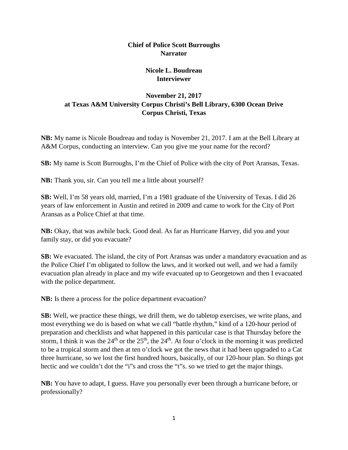## **Chief of Police Scott Burroughs Narrator**

## **Nicole L. Boudreau Interviewer**

## **November 21, 2017 at Texas A&M University Corpus Christi's Bell Library, 6300 Ocean Drive Corpus Christi, Texas**

**NB:** My name is Nicole Boudreau and today is November 21, 2017. I am at the Bell Library at A&M Corpus, conducting an interview. Can you give me your name for the record?

**SB:** My name is Scott Burroughs, I'm the Chief of Police with the city of Port Aransas, Texas.

**NB:** Thank you, sir. Can you tell me a little about yourself?

**SB:** Well, I'm 58 years old, married, I'm a 1981 graduate of the University of Texas. I did 26 years of law enforcement in Austin and retired in 2009 and came to work for the City of Port Aransas as a Police Chief at that time.

**NB:** Okay, that was awhile back. Good deal. As far as Hurricane Harvey, did you and your family stay, or did you evacuate?

**SB:** We evacuated. The island, the city of Port Aransas was under a mandatory evacuation and as the Police Chief I'm obligated to follow the laws, and it worked out well, and we had a family evacuation plan already in place and my wife evacuated up to Georgetown and then I evacuated with the police department.

**NB:** Is there a process for the police department evacuation?

**SB:** Well, we practice these things, we drill them, we do tabletop exercises, we write plans, and most everything we do is based on what we call "battle rhythm," kind of a 120-hour period of preparation and checklists and what happened in this particular case is that Thursday before the storm, I think it was the  $24<sup>th</sup>$  or the  $25<sup>th</sup>$ , the  $24<sup>th</sup>$ . At four o'clock in the morning it was predicted to be a tropical storm and then at ten o'clock we got the news that it had been upgraded to a Cat three hurricane, so we lost the first hundred hours, basically, of our 120-hour plan. So things got hectic and we couldn't dot the "i"s and cross the "t"s. so we tried to get the major things.

**NB:** You have to adapt, I guess. Have you personally ever been through a hurricane before, or professionally?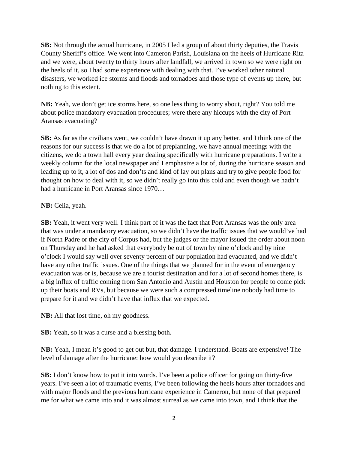**SB:** Not through the actual hurricane, in 2005 I led a group of about thirty deputies, the Travis County Sheriff's office. We went into Cameron Parish, Louisiana on the heels of Hurricane Rita and we were, about twenty to thirty hours after landfall, we arrived in town so we were right on the heels of it, so I had some experience with dealing with that. I've worked other natural disasters, we worked ice storms and floods and tornadoes and those type of events up there, but nothing to this extent.

**NB:** Yeah, we don't get ice storms here, so one less thing to worry about, right? You told me about police mandatory evacuation procedures; were there any hiccups with the city of Port Aransas evacuating?

**SB:** As far as the civilians went, we couldn't have drawn it up any better, and I think one of the reasons for our success is that we do a lot of preplanning, we have annual meetings with the citizens, we do a town hall every year dealing specifically with hurricane preparations. I write a weekly column for the local newspaper and I emphasize a lot of, during the hurricane season and leading up to it, a lot of dos and don'ts and kind of lay out plans and try to give people food for thought on how to deal with it, so we didn't really go into this cold and even though we hadn't had a hurricane in Port Aransas since 1970…

## **NB:** Celia, yeah.

**SB:** Yeah, it went very well. I think part of it was the fact that Port Aransas was the only area that was under a mandatory evacuation, so we didn't have the traffic issues that we would've had if North Padre or the city of Corpus had, but the judges or the mayor issued the order about noon on Thursday and he had asked that everybody be out of town by nine o'clock and by nine o'clock I would say well over seventy percent of our population had evacuated, and we didn't have any other traffic issues. One of the things that we planned for in the event of emergency evacuation was or is, because we are a tourist destination and for a lot of second homes there, is a big influx of traffic coming from San Antonio and Austin and Houston for people to come pick up their boats and RVs, but because we were such a compressed timeline nobody had time to prepare for it and we didn't have that influx that we expected.

**NB:** All that lost time, oh my goodness.

**SB:** Yeah, so it was a curse and a blessing both.

**NB:** Yeah, I mean it's good to get out but, that damage. I understand. Boats are expensive! The level of damage after the hurricane: how would you describe it?

**SB:** I don't know how to put it into words. I've been a police officer for going on thirty-five years. I've seen a lot of traumatic events, I've been following the heels hours after tornadoes and with major floods and the previous hurricane experience in Cameron, but none of that prepared me for what we came into and it was almost surreal as we came into town, and I think that the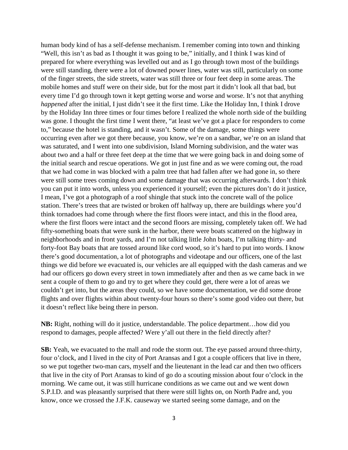human body kind of has a self-defense mechanism. I remember coming into town and thinking "Well, this isn't as bad as I thought it was going to be," initially, and I think I was kind of prepared for where everything was levelled out and as I go through town most of the buildings were still standing, there were a lot of downed power lines, water was still, particularly on some of the finger streets, the side streets, water was still three or four feet deep in some areas. The mobile homes and stuff were on their side, but for the most part it didn't look all that bad, but every time I'd go through town it kept getting worse and worse and worse. It's not that anything *happened* after the initial, I just didn't see it the first time. Like the Holiday Inn, I think I drove by the Holiday Inn three times or four times before I realized the whole north side of the building was gone. I thought the first time I went there, "at least we've got a place for responders to come to," because the hotel is standing, and it wasn't. Some of the damage, some things were occurring even after we got there because, you know, we're on a sandbar, we're on an island that was saturated, and I went into one subdivision, Island Morning subdivision, and the water was about two and a half or three feet deep at the time that we were going back in and doing some of the initial search and rescue operations. We got in just fine and as we were coming out, the road that we had come in was blocked with a palm tree that had fallen after we had gone in, so there were still some trees coming down and some damage that was occurring afterwards. I don't think you can put it into words, unless you experienced it yourself; even the pictures don't do it justice, I mean, I've got a photograph of a roof shingle that stuck into the concrete wall of the police station. There's trees that are twisted or broken off halfway up, there are buildings where you'd think tornadoes had come through where the first floors were intact, and this in the flood area, where the first floors were intact and the second floors are missing, completely taken off. We had fifty-something boats that were sunk in the harbor, there were boats scattered on the highway in neighborhoods and in front yards, and I'm not talking little John boats, I'm talking thirty- and forty-foot Bay boats that are tossed around like cord wood, so it's hard to put into words. I know there's good documentation, a lot of photographs and videotape and our officers, one of the last things we did before we evacuated is, our vehicles are all equipped with the dash cameras and we had our officers go down every street in town immediately after and then as we came back in we sent a couple of them to go and try to get where they could get, there were a lot of areas we couldn't get into, but the areas they could, so we have some documentation, we did some drone flights and over flights within about twenty-four hours so there's some good video out there, but it doesn't reflect like being there in person.

**NB:** Right, nothing will do it justice, understandable. The police department…how did you respond to damages, people affected? Were y'all out there in the field directly after?

**SB:** Yeah, we evacuated to the mall and rode the storm out. The eye passed around three-thirty, four o'clock, and I lived in the city of Port Aransas and I got a couple officers that live in there, so we put together two-man cars, myself and the lieutenant in the lead car and then two officers that live in the city of Port Aransas to kind of go do a scouting mission about four o'clock in the morning. We came out, it was still hurricane conditions as we came out and we went down S.P.I.D. and was pleasantly surprised that there were still lights on, on North Padre and, you know, once we crossed the J.F.K. causeway we started seeing some damage, and on the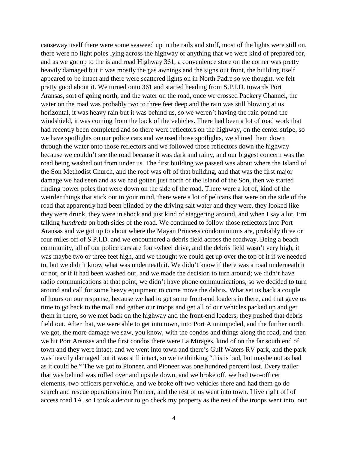causeway itself there were some seaweed up in the rails and stuff, most of the lights were still on, there were no light poles lying across the highway or anything that we were kind of prepared for, and as we got up to the island road Highway 361, a convenience store on the corner was pretty heavily damaged but it was mostly the gas awnings and the signs out front, the building itself appeared to be intact and there were scattered lights on in North Padre so we thought, we felt pretty good about it. We turned onto 361 and started heading from S.P.I.D. towards Port Aransas, sort of going north, and the water on the road, once we crossed Packery Channel, the water on the road was probably two to three feet deep and the rain was still blowing at us horizontal, it was heavy rain but it was behind us, so we weren't having the rain pound the windshield, it was coming from the back of the vehicles. There had been a lot of road work that had recently been completed and so there were reflectors on the highway, on the center stripe, so we have spotlights on our police cars and we used those spotlights, we shined them down through the water onto those reflectors and we followed those reflectors down the highway because we couldn't see the road because it was dark and rainy, and our biggest concern was the road being washed out from under us. The first building we passed was about where the Island of the Son Methodist Church, and the roof was off of that building, and that was the first major damage we had seen and as we had gotten just north of the Island of the Son, then we started finding power poles that were down on the side of the road. There were a lot of, kind of the weirder things that stick out in your mind, there were a lot of pelicans that were on the side of the road that apparently had been blinded by the driving salt water and they were, they looked like they were drunk, they were in shock and just kind of staggering around, and when I say a lot, I'm talking *hundreds* on both sides of the road. We continued to follow those reflectors into Port Aransas and we got up to about where the Mayan Princess condominiums are, probably three or four miles off of S.P.I.D. and we encountered a debris field across the roadway. Being a beach community, all of our police cars are four-wheel drive, and the debris field wasn't very high, it was maybe two or three feet high, and we thought we could get up over the top of it if we needed to, but we didn't know what was underneath it. We didn't know if there was a road underneath it or not, or if it had been washed out, and we made the decision to turn around; we didn't have radio communications at that point, we didn't have phone communications, so we decided to turn around and call for some heavy equipment to come move the debris. What set us back a couple of hours on our response, because we had to get some front-end loaders in there, and that gave us time to go back to the mall and gather our troops and get all of our vehicles packed up and get them in there, so we met back on the highway and the front-end loaders, they pushed that debris field out. After that, we were able to get into town, into Port A unimpeded, and the further north we got, the more damage we saw, you know, with the condos and things along the road, and then we hit Port Aransas and the first condos there were La Mirages, kind of on the far south end of town and they were intact, and we went into town and there's Gulf Waters RV park, and the park was heavily damaged but it was still intact, so we're thinking "this is bad, but maybe not as bad as it could be." The we got to Pioneer, and Pioneer was one hundred percent lost. Every trailer that was behind was rolled over and upside down, and we broke off, we had two-officer elements, two officers per vehicle, and we broke off two vehicles there and had them go do search and rescue operations into Pioneer, and the rest of us went into town. I live right off of access road 1A, so I took a detour to go check my property as the rest of the troops went into, our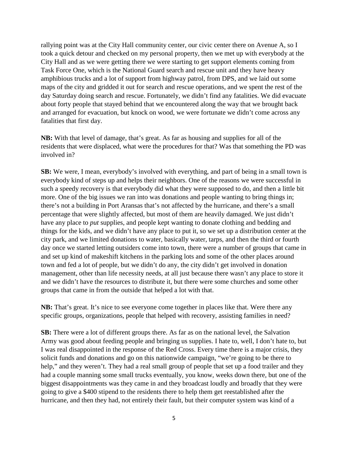rallying point was at the City Hall community center, our civic center there on Avenue A, so I took a quick detour and checked on my personal property, then we met up with everybody at the City Hall and as we were getting there we were starting to get support elements coming from Task Force One, which is the National Guard search and rescue unit and they have heavy amphibious trucks and a lot of support from highway patrol, from DPS, and we laid out some maps of the city and gridded it out for search and rescue operations, and we spent the rest of the day Saturday doing search and rescue. Fortunately, we didn't find any fatalities. We did evacuate about forty people that stayed behind that we encountered along the way that we brought back and arranged for evacuation, but knock on wood, we were fortunate we didn't come across any fatalities that first day.

**NB:** With that level of damage, that's great. As far as housing and supplies for all of the residents that were displaced, what were the procedures for that? Was that something the PD was involved in?

**SB:** We were, I mean, everybody's involved with everything, and part of being in a small town is everybody kind of steps up and helps their neighbors. One of the reasons we were successful in such a speedy recovery is that everybody did what they were supposed to do, and then a little bit more. One of the big issues we ran into was donations and people wanting to bring things in; there's not a building in Port Aransas that's not affected by the hurricane, and there's a small percentage that were slightly affected, but most of them are heavily damaged. We just didn't have any place to *put* supplies, and people kept wanting to donate clothing and bedding and things for the kids, and we didn't have any place to put it, so we set up a distribution center at the city park, and we limited donations to water, basically water, tarps, and then the third or fourth day once we started letting outsiders come into town, there were a number of groups that came in and set up kind of makeshift kitchens in the parking lots and some of the other places around town and fed a lot of people, but we didn't do any, the city didn't get involved in donation management, other than life necessity needs, at all just because there wasn't any place to store it and we didn't have the resources to distribute it, but there were some churches and some other groups that came in from the outside that helped a lot with that.

**NB:** That's great. It's nice to see everyone come together in places like that. Were there any specific groups, organizations, people that helped with recovery, assisting families in need?

**SB:** There were a lot of different groups there. As far as on the national level, the Salvation Army was good about feeding people and bringing us supplies. I hate to, well, I don't hate to, but I was real disappointed in the response of the Red Cross. Every time there is a major crisis, they solicit funds and donations and go on this nationwide campaign, "we're going to be there to help," and they weren't. They had a real small group of people that set up a food trailer and they had a couple manning some small trucks eventually, you know, weeks down there, but one of the biggest disappointments was they came in and they broadcast loudly and broadly that they were going to give a \$400 stipend to the residents there to help them get reestablished after the hurricane, and then they had, not entirely their fault, but their computer system was kind of a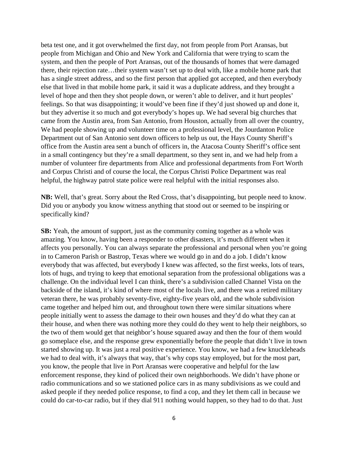beta test one, and it got overwhelmed the first day, not from people from Port Aransas, but people from Michigan and Ohio and New York and California that were trying to scam the system, and then the people of Port Aransas, out of the thousands of homes that were damaged there, their rejection rate…their system wasn't set up to deal with, like a mobile home park that has a single street address, and so the first person that applied got accepted, and then everybody else that lived in that mobile home park, it said it was a duplicate address, and they brought a level of hope and then they shot people down, or weren't able to deliver, and it hurt peoples' feelings. So that was disappointing; it would've been fine if they'd just showed up and done it, but they advertise it so much and got everybody's hopes up. We had several big churches that came from the Austin area, from San Antonio, from Houston, actually from all over the country, We had people showing up and volunteer time on a professional level, the Jourdanton Police Department out of San Antonio sent down officers to help us out, the Hays County Sheriff's office from the Austin area sent a bunch of officers in, the Atacosa County Sheriff's office sent in a small contingency but they're a small department, so they sent in, and we had help from a number of volunteer fire departments from Alice and professional departments from Fort Worth and Corpus Christi and of course the local, the Corpus Christi Police Department was real helpful, the highway patrol state police were real helpful with the initial responses also.

**NB:** Well, that's great. Sorry about the Red Cross, that's disappointing, but people need to know. Did you or anybody you know witness anything that stood out or seemed to be inspiring or specifically kind?

**SB:** Yeah, the amount of support, just as the community coming together as a whole was amazing. You know, having been a responder to other disasters, it's much different when it affects you personally. You can always separate the professional and personal when you're going in to Cameron Parish or Bastrop, Texas where we would go in and do a job. I didn't know everybody that was affected, but everybody I knew was affected, so the first weeks, lots of tears, lots of hugs, and trying to keep that emotional separation from the professional obligations was a challenge. On the individual level I can think, there's a subdivision called Channel Vista on the backside of the island, it's kind of where most of the locals live, and there was a retired military veteran there, he was probably seventy-five, eighty-five years old, and the whole subdivision came together and helped him out, and throughout town there were similar situations where people initially went to assess the damage to their own houses and they'd do what they can at their house, and when there was nothing more they could do they went to help their neighbors, so the two of them would get that neighbor's house squared away and then the four of them would go someplace else, and the response grew exponentially before the people that didn't live in town started showing up. It was just a real positive experience. You know, we had a few knuckleheads we had to deal with, it's always that way, that's why cops stay employed, but for the most part, you know, the people that live in Port Aransas were cooperative and helpful for the law enforcement response, they kind of policed their own neighborhoods. We didn't have phone or radio communications and so we stationed police cars in as many subdivisions as we could and asked people if they needed police response, to find a cop, and they let them call in because we could do car-to-car radio, but if they dial 911 nothing would happen, so they had to do that. Just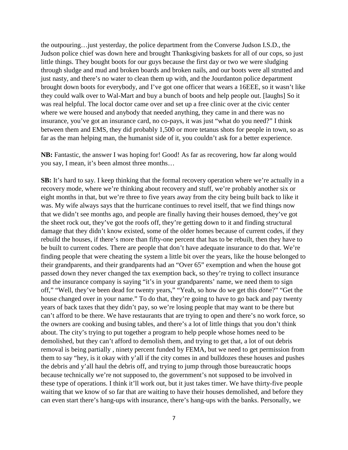the outpouring…just yesterday, the police department from the Converse Judson I.S.D., the Judson police chief was down here and brought Thanksgiving baskets for all of our cops, so just little things. They bought boots for our guys because the first day or two we were sludging through sludge and mud and broken boards and broken nails, and our boots were all strutted and just nasty, and there's no water to clean them up with, and the Jourdanton police department brought down boots for everybody, and I've got one officer that wears a 16EEE, so it wasn't like they could walk over to Wal-Mart and buy a bunch of boots and help people out. [laughs] So it was real helpful. The local doctor came over and set up a free clinic over at the civic center where we were housed and anybody that needed anything, they came in and there was no insurance, you've got an insurance card, no co-pays, it was just "what do you need?" I think between them and EMS, they did probably 1,500 or more tetanus shots for people in town, so as far as the man helping man, the humanist side of it, you couldn't ask for a better experience.

**NB:** Fantastic, the answer I was hoping for! Good! As far as recovering, how far along would you say, I mean, it's been almost three months…

**SB:** It's hard to say. I keep thinking that the formal recovery operation where we're actually in a recovery mode, where we're thinking about recovery and stuff, we're probably another six or eight months in that, but we're three to five years away from the city being built back to like it was. My wife always says that the hurricane continues to revel itself, that we find things now that we didn't see months ago, and people are finally having their houses demoed, they've got the sheet rock out, they've got the roofs off, they're getting down to it and finding structural damage that they didn't know existed, some of the older homes because of current codes, if they rebuild the houses, if there's more than fifty-one percent that has to be rebuilt, then they have to be built to current codes. There are people that don't have adequate insurance to do that. We're finding people that were cheating the system a little bit over the years, like the house belonged to their grandparents, and their grandparents had an "Over 65" exemption and when the house got passed down they never changed the tax exemption back, so they're trying to collect insurance and the insurance company is saying "it's in your grandparents' name, we need them to sign off," "Well, they've been dead for twenty years," "Yeah, so how do we get this done?" "Get the house changed over in your name." To do that, they're going to have to go back and pay twenty years of back taxes that they didn't pay, so we're losing people that may want to be there but can't afford to be there. We have restaurants that are trying to open and there's no work force, so the owners are cooking and busing tables, and there's a lot of little things that you don't think about. The city's trying to put together a program to help people whose homes need to be demolished, but they can't afford to demolish them, and trying to get that, a lot of out debris removal is being partially , ninety percent funded by FEMA, but we need to get permission from them to say "hey, is it okay with y'all if the city comes in and bulldozes these houses and pushes the debris and y'all haul the debris off, and trying to jump through those bureaucratic hoops because technically we're not supposed to, the government's not supposed to be involved in these type of operations. I think it'll work out, but it just takes timer. We have thirty-five people waiting that we know of so far that are waiting to have their houses demolished, and before they can even start there's hang-ups with insurance, there's hang-ups with the banks. Personally, we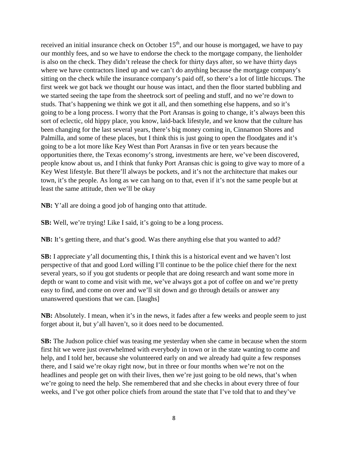received an initial insurance check on October 15<sup>th</sup>, and our house is mortgaged, we have to pay our monthly fees, and so we have to endorse the check to the mortgage company, the lienholder is also on the check. They didn't release the check for thirty days after, so we have thirty days where we have contractors lined up and we can't do anything because the mortgage company's sitting on the check while the insurance company's paid off, so there's a lot of little hiccups. The first week we got back we thought our house was intact, and then the floor started bubbling and we started seeing the tape from the sheetrock sort of peeling and stuff, and no we're down to studs. That's happening we think we got it all, and then something else happens, and so it's going to be a long process. I worry that the Port Aransas is going to change, it's always been this sort of eclectic, old hippy place, you know, laid-back lifestyle, and we know that the culture has been changing for the last several years, there's big money coming in, Cinnamon Shores and Palmilla, and some of these places, but I think this is just going to open the floodgates and it's going to be a lot more like Key West than Port Aransas in five or ten years because the opportunities there, the Texas economy's strong, investments are here, we've been discovered, people know about us, and I think that funky Port Aransas chic is going to give way to more of a Key West lifestyle. But there'll always be pockets, and it's not the architecture that makes our town, it's the people. As long as we can hang on to that, even if it's not the same people but at least the same attitude, then we'll be okay

**NB:** Y'all are doing a good job of hanging onto that attitude.

**SB:** Well, we're trying! Like I said, it's going to be a long process.

**NB:** It's getting there, and that's good. Was there anything else that you wanted to add?

**SB:** I appreciate y'all documenting this, I think this is a historical event and we haven't lost perspective of that and good Lord willing I'll continue to be the police chief there for the next several years, so if you got students or people that are doing research and want some more in depth or want to come and visit with me, we've always got a pot of coffee on and we're pretty easy to find, and come on over and we'll sit down and go through details or answer any unanswered questions that we can. [laughs]

**NB:** Absolutely. I mean, when it's in the news, it fades after a few weeks and people seem to just forget about it, but y'all haven't, so it does need to be documented.

**SB:** The Judson police chief was teasing me yesterday when she came in because when the storm first hit we were just overwhelmed with everybody in town or in the state wanting to come and help, and I told her, because she volunteered early on and we already had quite a few responses there, and I said we're okay right now, but in three or four months when we're not on the headlines and people get on with their lives, then we're just going to be old news, that's when we're going to need the help. She remembered that and she checks in about every three of four weeks, and I've got other police chiefs from around the state that I've told that to and they've